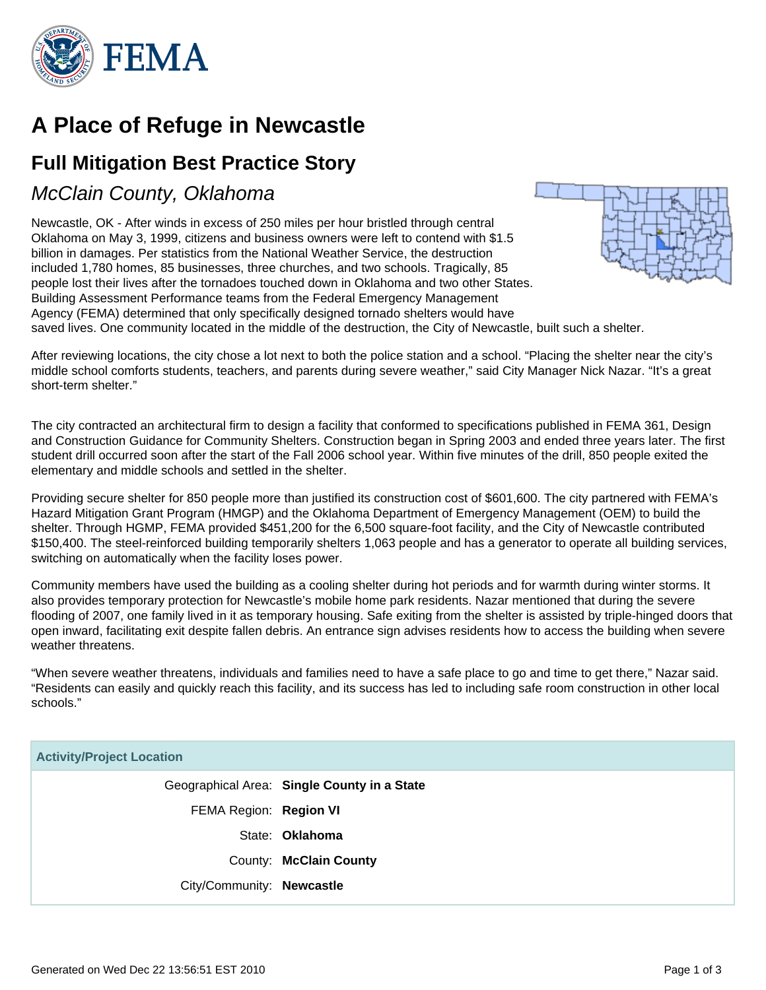

# **A Place of Refuge in Newcastle**

## **Full Mitigation Best Practice Story**

### McClain County, Oklahoma

Newcastle, OK - After winds in excess of 250 miles per hour bristled through central Oklahoma on May 3, 1999, citizens and business owners were left to contend with \$1.5 billion in damages. Per statistics from the National Weather Service, the destruction included 1,780 homes, 85 businesses, three churches, and two schools. Tragically, 85 people lost their lives after the tornadoes touched down in Oklahoma and two other States. Building Assessment Performance teams from the Federal Emergency Management Agency (FEMA) determined that only specifically designed tornado shelters would have saved lives. One community located in the middle of the destruction, the City of Newcastle, built such a shelter.



The city contracted an architectural firm to design a facility that conformed to specifications published in FEMA 361, Design and Construction Guidance for Community Shelters. Construction began in Spring 2003 and ended three years later. The first student drill occurred soon after the start of the Fall 2006 school year. Within five minutes of the drill, 850 people exited the elementary and middle schools and settled in the shelter.

Providing secure shelter for 850 people more than justified its construction cost of \$601,600. The city partnered with FEMA's Hazard Mitigation Grant Program (HMGP) and the Oklahoma Department of Emergency Management (OEM) to build the shelter. Through HGMP, FEMA provided \$451,200 for the 6,500 square-foot facility, and the City of Newcastle contributed \$150,400. The steel-reinforced building temporarily shelters 1,063 people and has a generator to operate all building services, switching on automatically when the facility loses power.

Community members have used the building as a cooling shelter during hot periods and for warmth during winter storms. It also provides temporary protection for Newcastle's mobile home park residents. Nazar mentioned that during the severe flooding of 2007, one family lived in it as temporary housing. Safe exiting from the shelter is assisted by triple-hinged doors that open inward, facilitating exit despite fallen debris. An entrance sign advises residents how to access the building when severe weather threatens.

"When severe weather threatens, individuals and families need to have a safe place to go and time to get there," Nazar said. "Residents can easily and quickly reach this facility, and its success has led to including safe room construction in other local schools."

#### **Activity/Project Location**

|                           | Geographical Area: Single County in a State |
|---------------------------|---------------------------------------------|
| FEMA Region: Region VI    |                                             |
|                           | State: <b>Oklahoma</b>                      |
|                           | County: McClain County                      |
| City/Community: Newcastle |                                             |
|                           |                                             |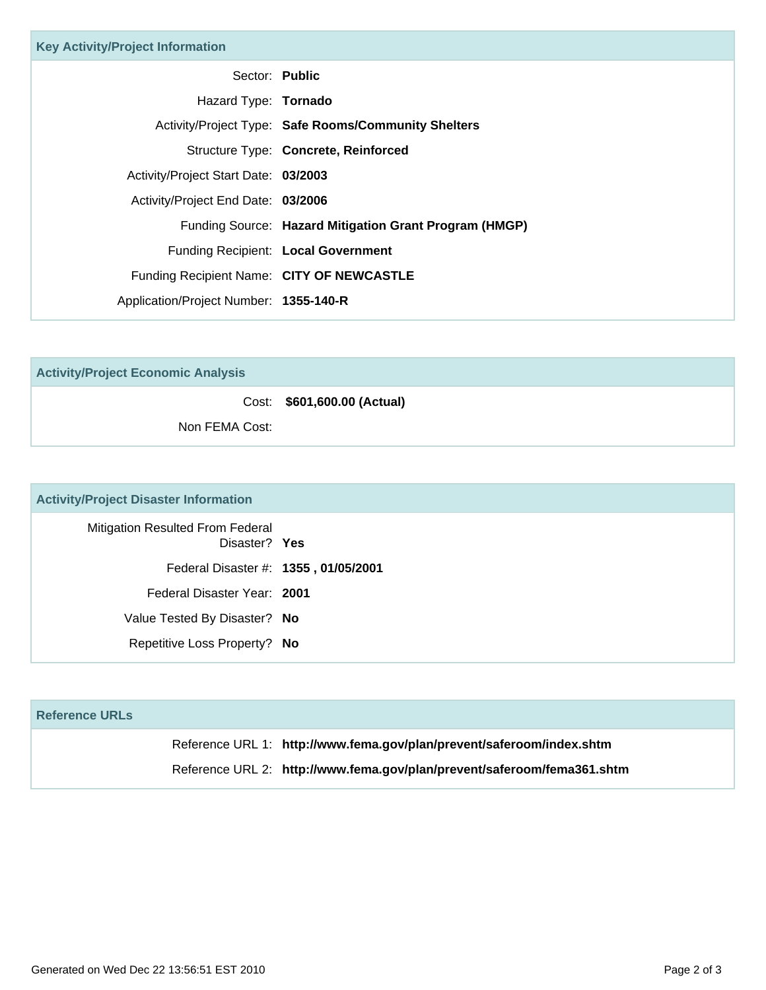| <b>Key Activity/Project Information</b>   |                                                        |
|-------------------------------------------|--------------------------------------------------------|
| Sector: Public                            |                                                        |
| Hazard Type: <b>Tornado</b>               |                                                        |
|                                           | Activity/Project Type: Safe Rooms/Community Shelters   |
|                                           | Structure Type: Concrete, Reinforced                   |
| Activity/Project Start Date: 03/2003      |                                                        |
| Activity/Project End Date: 03/2006        |                                                        |
|                                           | Funding Source: Hazard Mitigation Grant Program (HMGP) |
|                                           | Funding Recipient: Local Government                    |
| Funding Recipient Name: CITY OF NEWCASTLE |                                                        |
| Application/Project Number: 1355-140-R    |                                                        |

**Activity/Project Economic Analysis**

Cost: **\$601,600.00 (Actual)**

Non FEMA Cost:

### **Activity/Project Disaster Information**

| <b>Mitigation Resulted From Federal</b><br>Disaster? Yes |
|----------------------------------------------------------|
| Federal Disaster #: 1355, 01/05/2001                     |
| Federal Disaster Year: 2001                              |
| Value Tested By Disaster? No                             |
| Repetitive Loss Property? No                             |

| <b>Reference URLs</b> |                                                                         |
|-----------------------|-------------------------------------------------------------------------|
|                       | Reference URL 1: http://www.fema.gov/plan/prevent/saferoom/index.shtm   |
|                       | Reference URL 2: http://www.fema.gov/plan/prevent/saferoom/fema361.shtm |